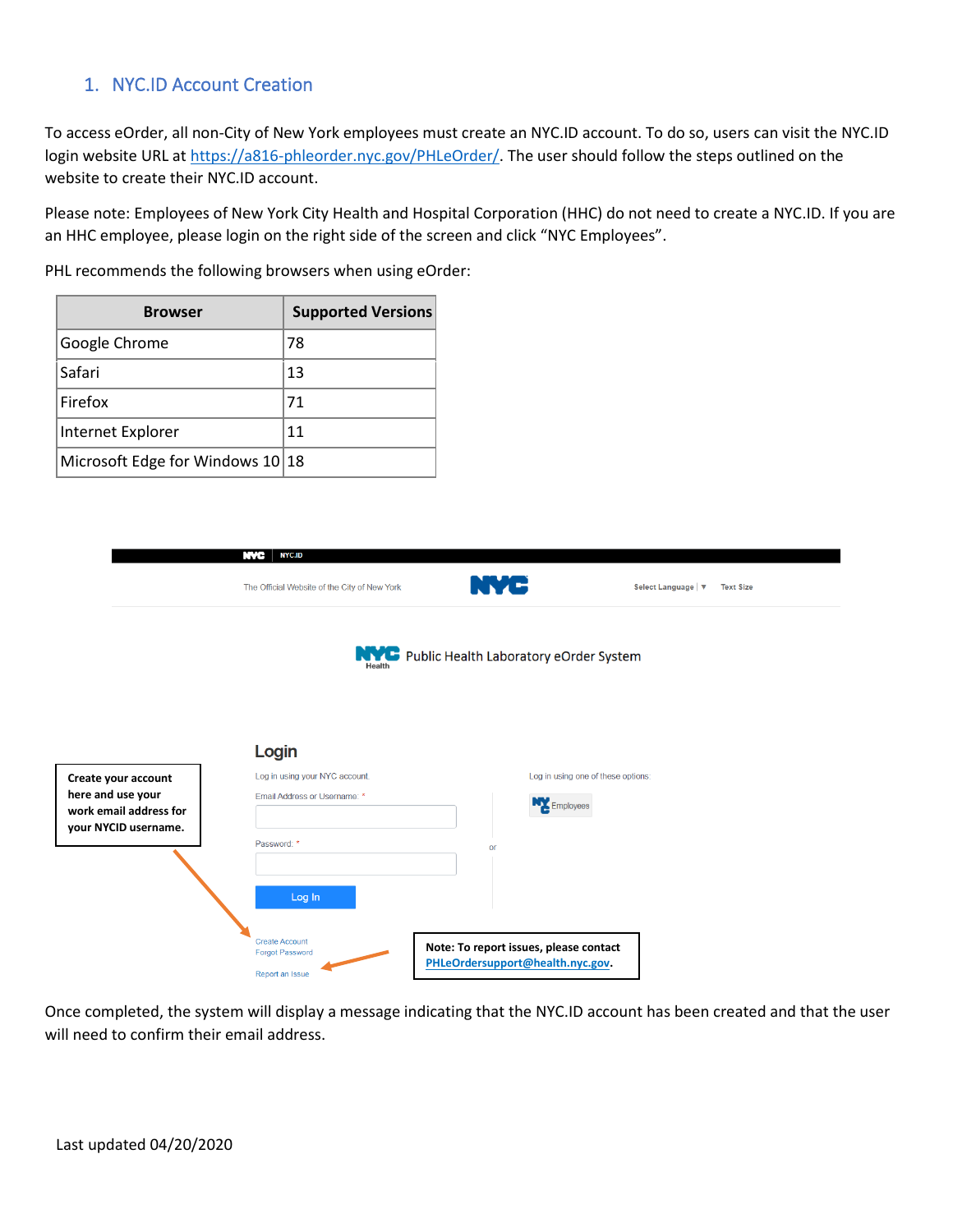## 1. NYC.ID Account Creation

To access eOrder, all non-City of New York employees must create an NYC.ID account. To do so, users can visit the NYC.ID login website URL at [https://a816-phleorder.nyc.gov/PHLeOrder/.](https://a816-phleorder.nyc.gov/PHLeOrder/) The user should follow the steps outlined on the website to create their NYC.ID account.

Please note: Employees of New York City Health and Hospital Corporation (HHC) do not need to create a NYC.ID. If you are an HHC employee, please login on the right side of the screen and click "NYC Employees".

PHL recommends the following browsers when using eOrder:

| <b>Browser</b>                     | <b>Supported Versions</b> |
|------------------------------------|---------------------------|
| Google Chrome                      | 78                        |
| Safari                             | 13                        |
| Firefox                            | 71                        |
| Internet Explorer                  | 11                        |
| Microsoft Edge for Windows 10   18 |                           |

|                                                                     | NVC<br><b>NYC.ID</b>                            |                                                     |                                       |
|---------------------------------------------------------------------|-------------------------------------------------|-----------------------------------------------------|---------------------------------------|
|                                                                     | The Official Website of the City of New York    | NYC                                                 | Select Language V<br><b>Text Size</b> |
|                                                                     |                                                 | <b>NAME:</b> Public Health Laboratory eOrder System |                                       |
| Create your account                                                 | Login<br>Log in using your NYC account.         |                                                     | Log in using one of these options:    |
| here and use your<br>work email address for<br>your NYCID username. | Email Address or Username: *                    | Employees                                           |                                       |
|                                                                     | Password: *<br>Log In                           | or                                                  |                                       |
|                                                                     | <b>Create Account</b><br><b>Forgot Password</b> | Note: To report issues, please contact              |                                       |
|                                                                     | Report an Issue                                 | PHLeOrdersupport@health.nyc.gov.                    |                                       |

Once completed, the system will display a message indicating that the NYC.ID account has been created and that the user will need to confirm their email address.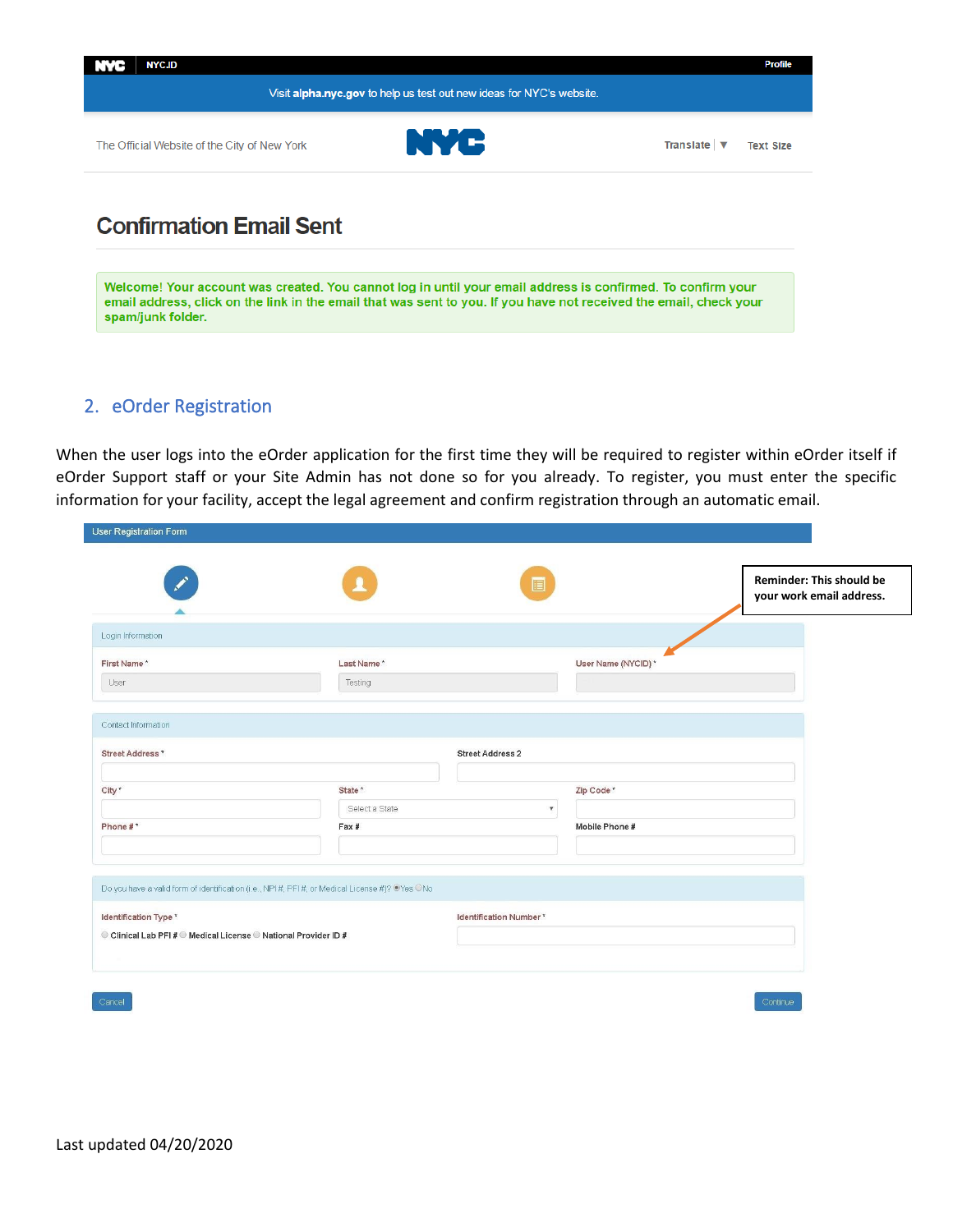

Welcome! Your account was created. You cannot log in until your email address is confirmed. To confirm your email address, click on the link in the email that was sent to you. If you have not received the email, check your spam/junk folder.

### 2. eOrder Registration

When the user logs into the eOrder application for the first time they will be required to register within eOrder itself if eOrder Support staff or your Site Admin has not done so for you already. To register, you must enter the specific information for your facility, accept the legal agreement and confirm registration through an automatic email.

| User Registration Form                                                                   |                                                                                               |                                 |                                                             |
|------------------------------------------------------------------------------------------|-----------------------------------------------------------------------------------------------|---------------------------------|-------------------------------------------------------------|
|                                                                                          |                                                                                               | e                               | <b>Reminder: This should be</b><br>your work email address. |
| Login Information                                                                        |                                                                                               |                                 |                                                             |
| First Name*<br>User                                                                      | Last Name*<br>Testing                                                                         | User Name (NYCID)*              |                                                             |
| Contact Information                                                                      |                                                                                               |                                 |                                                             |
| Street Address*                                                                          |                                                                                               | <b>Street Address 2</b>         |                                                             |
| City*                                                                                    | State <sup>*</sup><br>Select a State                                                          | Zip Code*<br>$\pmb{\mathrm{v}}$ |                                                             |
| Phone #*                                                                                 | Fax #                                                                                         | Mobile Phone #                  |                                                             |
|                                                                                          | Do you have a valid form of identification (i.e., NPI#, PFI#, or Medical License #)? @Yes ONo |                                 |                                                             |
| Identification Type *<br>© Clinical Lab PFI # © Medical License © National Provider ID # |                                                                                               | Identification Number*          |                                                             |
|                                                                                          |                                                                                               |                                 |                                                             |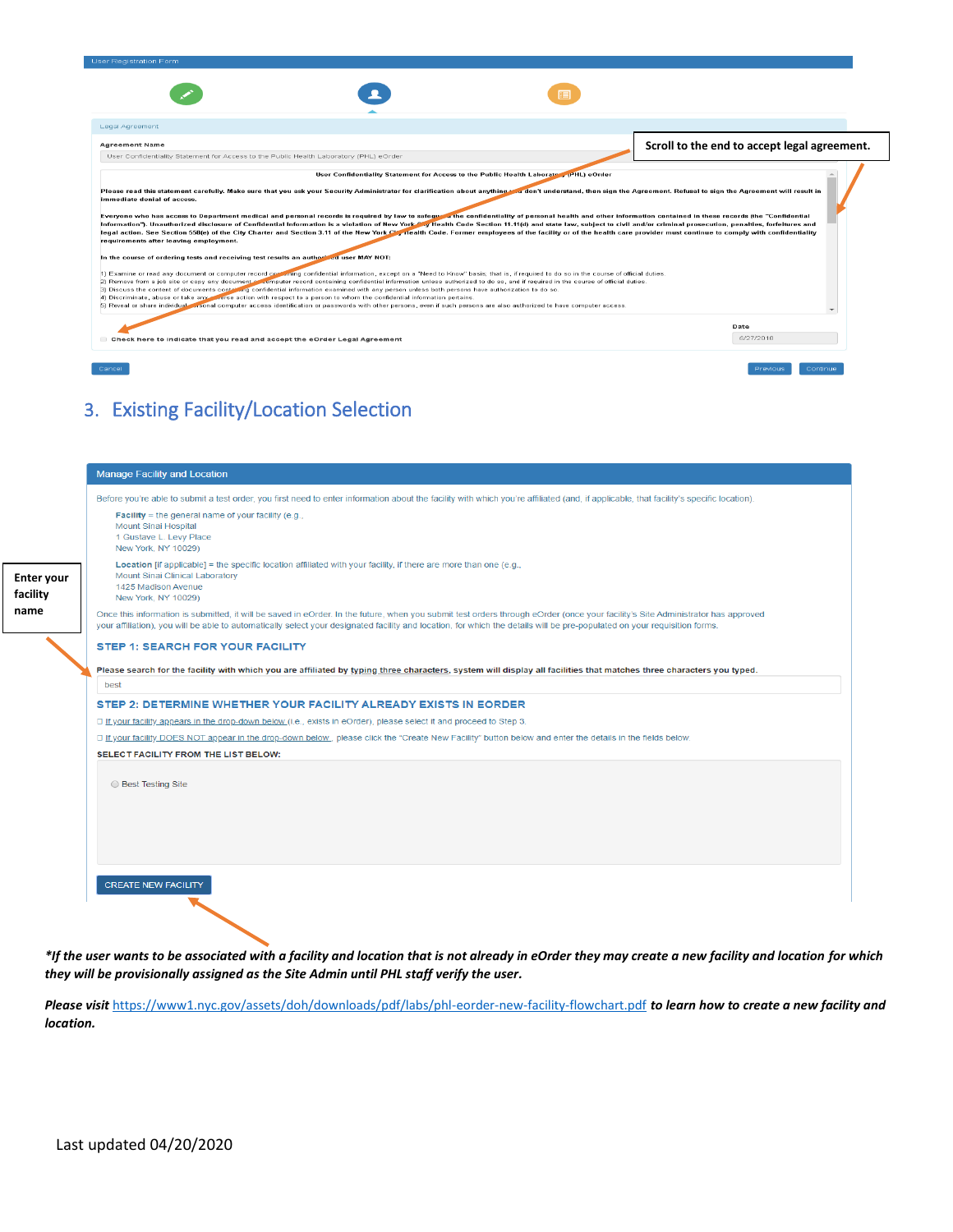| <b>User Registration Form</b>                                                                                                                                                                                                                                                                                                                                                                                                                                                                                                                                                                                                                                                                                                                                                                                                                                                                                                                                                                                                                                                                                                                                                                                                                                                                                                                                                                                                                                                                                                                                                                                                                                                                                                             |  |  |  |                                              |  |
|-------------------------------------------------------------------------------------------------------------------------------------------------------------------------------------------------------------------------------------------------------------------------------------------------------------------------------------------------------------------------------------------------------------------------------------------------------------------------------------------------------------------------------------------------------------------------------------------------------------------------------------------------------------------------------------------------------------------------------------------------------------------------------------------------------------------------------------------------------------------------------------------------------------------------------------------------------------------------------------------------------------------------------------------------------------------------------------------------------------------------------------------------------------------------------------------------------------------------------------------------------------------------------------------------------------------------------------------------------------------------------------------------------------------------------------------------------------------------------------------------------------------------------------------------------------------------------------------------------------------------------------------------------------------------------------------------------------------------------------------|--|--|--|----------------------------------------------|--|
|                                                                                                                                                                                                                                                                                                                                                                                                                                                                                                                                                                                                                                                                                                                                                                                                                                                                                                                                                                                                                                                                                                                                                                                                                                                                                                                                                                                                                                                                                                                                                                                                                                                                                                                                           |  |  |  |                                              |  |
| Legal Agreement                                                                                                                                                                                                                                                                                                                                                                                                                                                                                                                                                                                                                                                                                                                                                                                                                                                                                                                                                                                                                                                                                                                                                                                                                                                                                                                                                                                                                                                                                                                                                                                                                                                                                                                           |  |  |  |                                              |  |
| <b>Agreement Name</b>                                                                                                                                                                                                                                                                                                                                                                                                                                                                                                                                                                                                                                                                                                                                                                                                                                                                                                                                                                                                                                                                                                                                                                                                                                                                                                                                                                                                                                                                                                                                                                                                                                                                                                                     |  |  |  | Scroll to the end to accept legal agreement. |  |
| User Confidentiality Statement for Access to the Public Health Laboratory (PHL) eOrder                                                                                                                                                                                                                                                                                                                                                                                                                                                                                                                                                                                                                                                                                                                                                                                                                                                                                                                                                                                                                                                                                                                                                                                                                                                                                                                                                                                                                                                                                                                                                                                                                                                    |  |  |  |                                              |  |
|                                                                                                                                                                                                                                                                                                                                                                                                                                                                                                                                                                                                                                                                                                                                                                                                                                                                                                                                                                                                                                                                                                                                                                                                                                                                                                                                                                                                                                                                                                                                                                                                                                                                                                                                           |  |  |  |                                              |  |
|                                                                                                                                                                                                                                                                                                                                                                                                                                                                                                                                                                                                                                                                                                                                                                                                                                                                                                                                                                                                                                                                                                                                                                                                                                                                                                                                                                                                                                                                                                                                                                                                                                                                                                                                           |  |  |  |                                              |  |
| Please read this statement carefully. Make sure that you ask your Security Administrator for clarification about anything your don't understand, then sign the Agreement. Refusal to sign the Agreement will result in<br>immediate denial of access.<br>Everyone who has access to Department medical and personal records is required by law to safeguary the confidentiality of personal health and other information contained in these records (the "Confidential<br>Information"). Unauthorized disclosure of Confidential Information is a violation of New York C', Health Code Section 11.11(d) and state law, subject to civil and/or criminal prosecution, penalties, forfeitures and<br>legal action. See Section 558(e) of the City Charter and Section 3.11 of the New York Charles Tealth Code. Former employees of the facility or of the health care provider must continue to comply with confidentiality<br>requirements after leaving employment.<br>In the course of ordering tests and receiving test results an authorized user MAY NOT:<br>1) Examine or read any document or computer record contraining confidential information, except on a "Need to Know" basis; that is, if required to do so in the course of official duties.<br>2) Remove from a job site or copy any document or computer record containing confidential information unless authorized to do so, and if required in the course of official duties.<br>(3) Discuss the content of documents containing confidential information examined with any person unless both persons have authorization to do so.<br>[4] Discriminate, abuse or take any all orse action with respect to a person to whom the confidential information pertains. |  |  |  |                                              |  |
|                                                                                                                                                                                                                                                                                                                                                                                                                                                                                                                                                                                                                                                                                                                                                                                                                                                                                                                                                                                                                                                                                                                                                                                                                                                                                                                                                                                                                                                                                                                                                                                                                                                                                                                                           |  |  |  |                                              |  |
| 5) Reveal or share individual exponal computer access identification or passwords with other persons, even if such persons are also authorized to have computer access.                                                                                                                                                                                                                                                                                                                                                                                                                                                                                                                                                                                                                                                                                                                                                                                                                                                                                                                                                                                                                                                                                                                                                                                                                                                                                                                                                                                                                                                                                                                                                                   |  |  |  | Date                                         |  |

## 3. Existing Facility/Location Selection

|                               | <b>Manage Facility and Location</b>                                                                                                                                                                                                                                                                                                                          |
|-------------------------------|--------------------------------------------------------------------------------------------------------------------------------------------------------------------------------------------------------------------------------------------------------------------------------------------------------------------------------------------------------------|
|                               | Before you're able to submit a test order, you first need to enter information about the facility with which you're affiliated (and, if applicable, that facility's specific location).                                                                                                                                                                      |
|                               | <b>Facility</b> = the general name of your facility (e.g.,<br><b>Mount Sinai Hospital</b><br>1 Gustave L. Levy Place<br>New York, NY 10029)                                                                                                                                                                                                                  |
| <b>Enter your</b><br>facility | <b>Location</b> [if applicable] = the specific location affiliated with your facility, if there are more than one (e.g.,<br>Mount Sinai Clinical Laboratory<br>1425 Madison Avenue<br>New York, NY 10029)                                                                                                                                                    |
| name                          | Once this information is submitted, it will be saved in eOrder. In the future, when you submit test orders through eOrder (once your facility's Site Administrator has approved<br>your affiliation), you will be able to automatically select your designated facility and location, for which the details will be pre-populated on your requisition forms. |
|                               | <b>STEP 1: SEARCH FOR YOUR FACILITY</b>                                                                                                                                                                                                                                                                                                                      |
|                               | Please search for the facility with which you are affiliated by typing three characters, system will display all facilities that matches three characters you typed.                                                                                                                                                                                         |
|                               | best                                                                                                                                                                                                                                                                                                                                                         |
|                               | STEP 2: DETERMINE WHETHER YOUR FACILITY ALREADY EXISTS IN EORDER                                                                                                                                                                                                                                                                                             |
|                               | □ If your facility appears in the drop-down below (i.e., exists in eOrder), please select it and proceed to Step 3.                                                                                                                                                                                                                                          |
|                               | If your facility DOES NOT appear in the drop-down below , please click the "Create New Facility" button below and enter the details in the fields below.                                                                                                                                                                                                     |
|                               | SELECT FACILITY FROM THE LIST BELOW:                                                                                                                                                                                                                                                                                                                         |
|                               | <b>Best Testing Site</b>                                                                                                                                                                                                                                                                                                                                     |
|                               |                                                                                                                                                                                                                                                                                                                                                              |
|                               | <b>CREATE NEW FACILITY</b>                                                                                                                                                                                                                                                                                                                                   |

*\*If the user wants to be associated with a facility and location that is not already in eOrder they may create a new facility and location for which they will be provisionally assigned as the Site Admin until PHL staff verify the user.* 

*Please visit* <https://www1.nyc.gov/assets/doh/downloads/pdf/labs/phl-eorder-new-facility-flowchart.pdf> *to learn how to create a new facility and location.*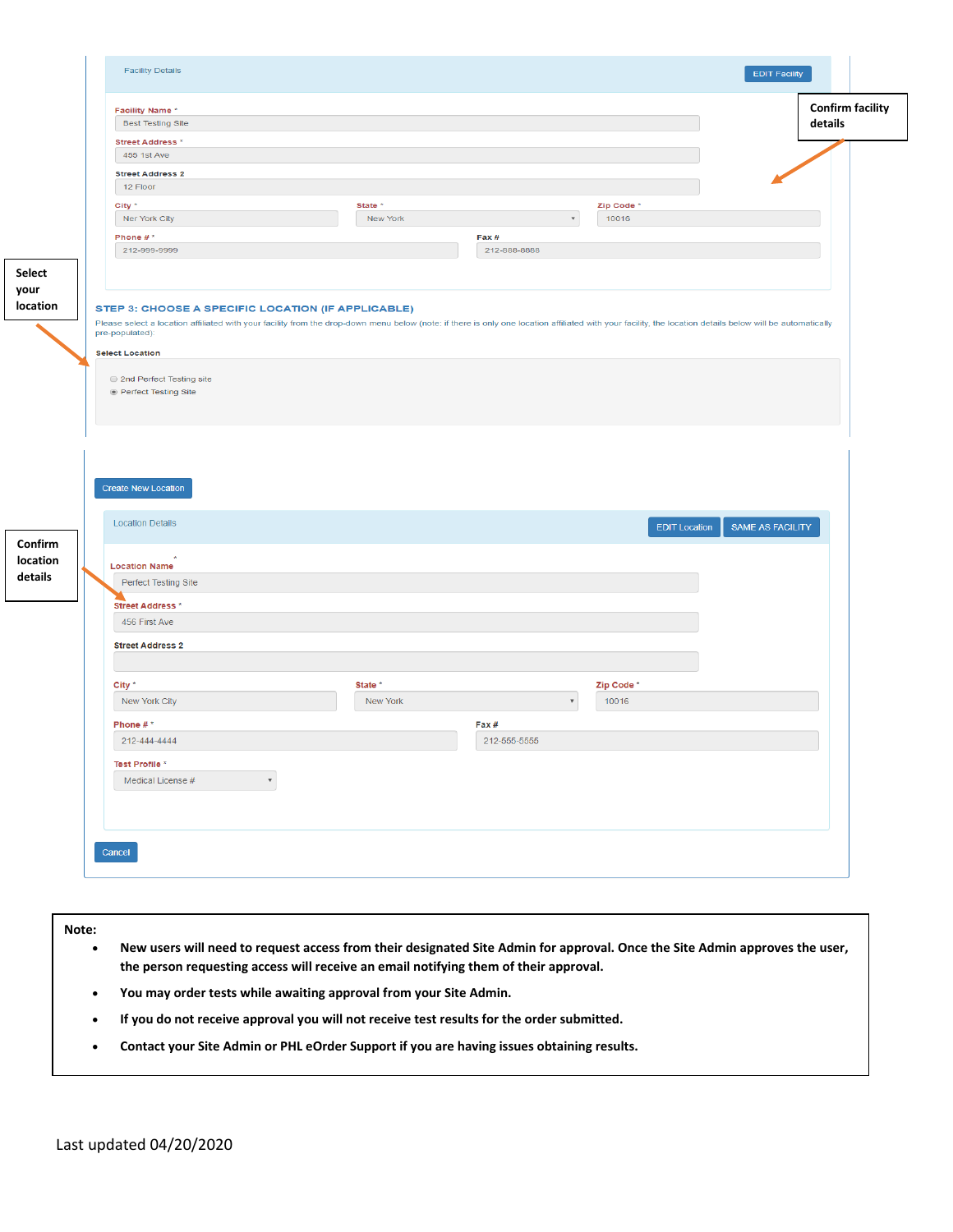| <b>Facility Name*</b><br><b>Best Testing Site</b>                                                            |                                                                                                                                                                                                           |                                                  | <b>Confirm facility</b> |
|--------------------------------------------------------------------------------------------------------------|-----------------------------------------------------------------------------------------------------------------------------------------------------------------------------------------------------------|--------------------------------------------------|-------------------------|
|                                                                                                              |                                                                                                                                                                                                           |                                                  | details                 |
| <b>Street Address *</b><br>455 1st Ave                                                                       |                                                                                                                                                                                                           |                                                  |                         |
|                                                                                                              |                                                                                                                                                                                                           |                                                  |                         |
| <b>Street Address 2</b><br>12 Floor                                                                          |                                                                                                                                                                                                           |                                                  |                         |
|                                                                                                              |                                                                                                                                                                                                           |                                                  |                         |
| City *                                                                                                       | State *<br><b>New York</b>                                                                                                                                                                                | Zip Code *<br>10016<br>$\boldsymbol{\mathrm{v}}$ |                         |
| Ner York City                                                                                                |                                                                                                                                                                                                           |                                                  |                         |
| Phone $#^*$                                                                                                  | Fax #                                                                                                                                                                                                     | 212-888-8888                                     |                         |
| 212-999-9999                                                                                                 |                                                                                                                                                                                                           |                                                  |                         |
|                                                                                                              |                                                                                                                                                                                                           |                                                  |                         |
| pre-populated):<br><b>Select Location</b>                                                                    | Please select a location affiliated with your facility from the drop-down menu below (note: if there is only one location affiliated with your facility, the location details below will be automatically |                                                  |                         |
| 2nd Perfect Testing site<br>◉ Perfect Testing Site                                                           |                                                                                                                                                                                                           |                                                  |                         |
| <b>Create New Location</b>                                                                                   |                                                                                                                                                                                                           |                                                  |                         |
| <b>Location Details</b><br><b>Location Name</b><br>Perfect Testing Site<br>Street Address *<br>456 First Ave |                                                                                                                                                                                                           | <b>EDIT Location</b>                             | SAME AS FACILITY        |
| <b>Street Address 2</b>                                                                                      |                                                                                                                                                                                                           |                                                  |                         |
|                                                                                                              |                                                                                                                                                                                                           |                                                  |                         |
| City *                                                                                                       | State *                                                                                                                                                                                                   | Zip Code *                                       |                         |
| New York City                                                                                                | New York                                                                                                                                                                                                  | 10016<br>$\overline{\mathbf{v}}$                 |                         |
|                                                                                                              |                                                                                                                                                                                                           |                                                  |                         |
| Phone #*                                                                                                     | Fax #                                                                                                                                                                                                     |                                                  |                         |
| 212-444-4444                                                                                                 |                                                                                                                                                                                                           | 212-555-5555                                     |                         |
| Test Profile *<br>Medical License #                                                                          |                                                                                                                                                                                                           |                                                  |                         |

**Note:** 

- **New users will need to request access from their designated Site Admin for approval. Once the Site Admin approves the user, the person requesting access will receive an email notifying them of their approval.**
- **You may order tests while awaiting approval from your Site Admin.**
- **If you do not receive approval you will not receive test results for the order submitted.**
- **Contact your Site Admin or PHL eOrder Support if you are having issues obtaining results.**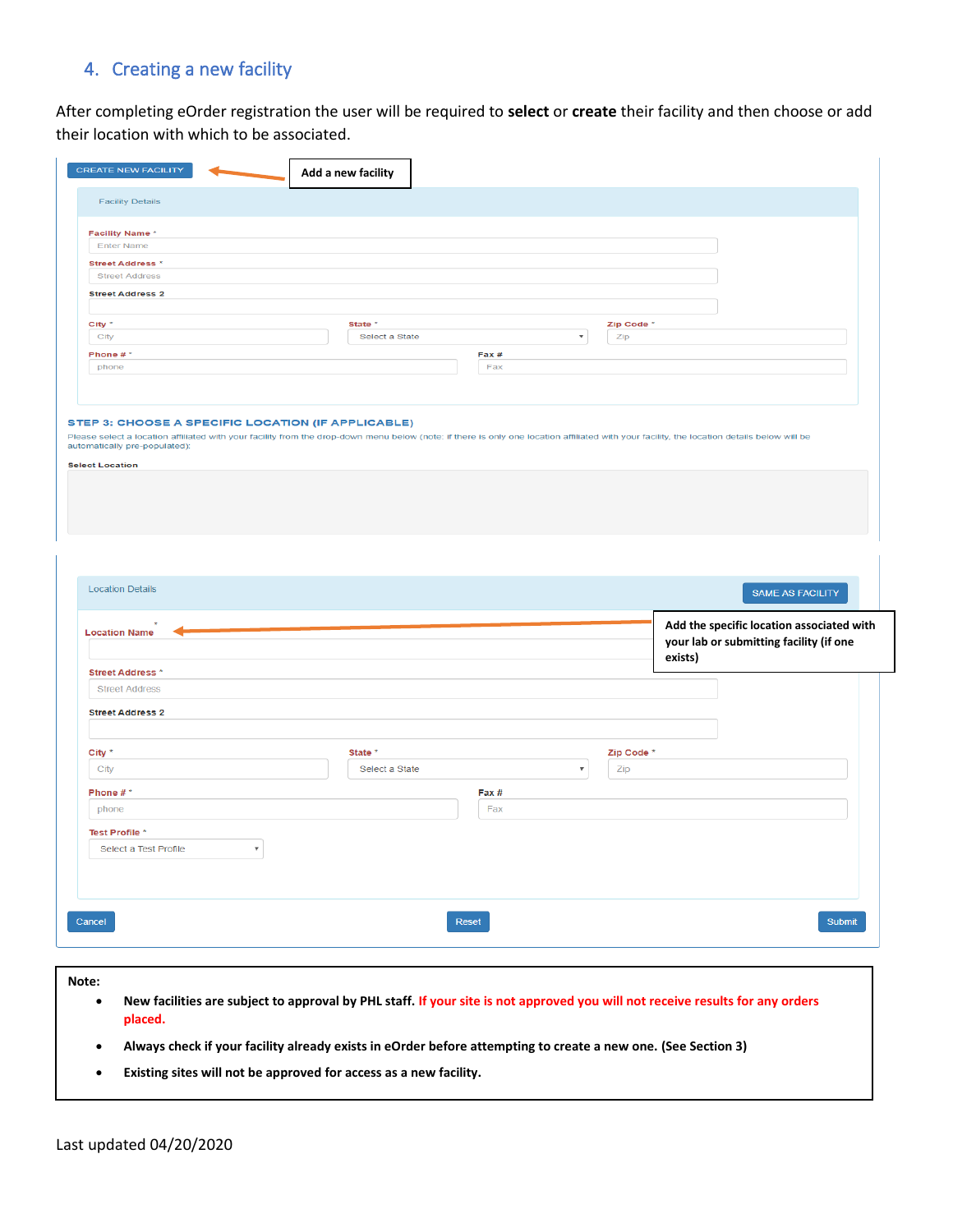## 4. Creating a new facility

After completing eOrder registration the user will be required to **select** or **create** their facility and then choose or add their location with which to be associated.

| <b>Facility Details</b>                         |                           |                |       |                                  |         |                                                                                      |
|-------------------------------------------------|---------------------------|----------------|-------|----------------------------------|---------|--------------------------------------------------------------------------------------|
|                                                 |                           |                |       |                                  |         |                                                                                      |
| <b>Facility Name*</b>                           |                           |                |       |                                  |         |                                                                                      |
| Enter Name                                      |                           |                |       |                                  |         |                                                                                      |
| <b>Street Address *</b>                         |                           |                |       |                                  |         |                                                                                      |
| <b>Street Address</b>                           |                           |                |       |                                  |         |                                                                                      |
| <b>Street Address 2</b>                         |                           |                |       |                                  |         |                                                                                      |
| City *                                          |                           | State *        |       | Zip Code <sup>*</sup>            |         |                                                                                      |
| City                                            |                           | Select a State |       | $\boldsymbol{\mathrm{v}}$<br>Zip |         |                                                                                      |
| Phone #*                                        |                           |                | Fax#  |                                  |         |                                                                                      |
| phone                                           |                           |                | Fax   |                                  |         |                                                                                      |
|                                                 |                           |                |       |                                  |         |                                                                                      |
| <b>Select Location</b>                          |                           |                |       |                                  |         |                                                                                      |
| <b>Location Details</b>                         |                           |                |       |                                  |         | SAME AS FACILITY                                                                     |
|                                                 |                           |                |       |                                  | exists) | Add the specific location associated with<br>your lab or submitting facility (if one |
| <b>Location Name</b><br><b>Street Address *</b> |                           |                |       |                                  |         |                                                                                      |
| <b>Street Address</b>                           |                           |                |       |                                  |         |                                                                                      |
|                                                 |                           |                |       |                                  |         |                                                                                      |
|                                                 |                           |                |       |                                  |         |                                                                                      |
|                                                 |                           |                |       |                                  |         |                                                                                      |
|                                                 |                           | State *        |       | Zip Code *                       |         |                                                                                      |
| City                                            |                           | Select a State |       | $\boldsymbol{\mathrm{v}}$<br>Zip |         |                                                                                      |
| <b>Street Address 2</b><br>City *<br>Phone #*   |                           |                | Fax # |                                  |         |                                                                                      |
|                                                 |                           |                |       |                                  |         |                                                                                      |
| phone                                           |                           |                | Fax   |                                  |         |                                                                                      |
| Test Profile *                                  |                           |                |       |                                  |         |                                                                                      |
| Select a Test Profile                           | $\boldsymbol{\mathrm{v}}$ |                |       |                                  |         |                                                                                      |
|                                                 |                           |                |       |                                  |         |                                                                                      |
|                                                 |                           |                |       |                                  |         |                                                                                      |
|                                                 |                           |                |       |                                  |         |                                                                                      |

**Note:**

- **New facilities are subject to approval by PHL staff. If your site is not approved you will not receive results for any orders placed.**
- **Always check if your facility already exists in eOrder before attempting to create a new one. (See Section 3)**
- **Existing sites will not be approved for access as a new facility.**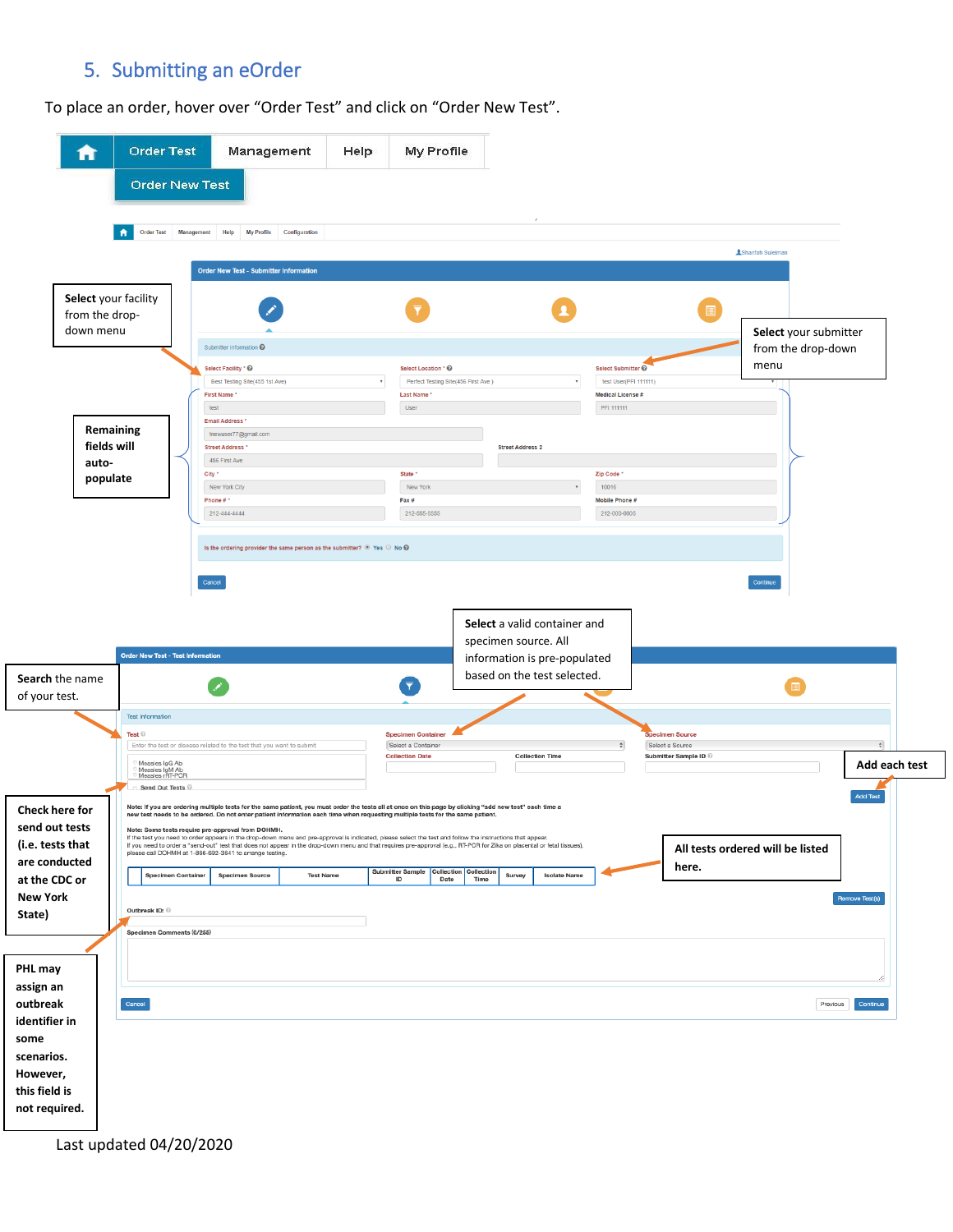## 5. Submitting an eOrder

To place an order, hover over "Order Test" and click on "Order New Test".

| A                                                                | <b>Order Test</b><br><b>Order New Test</b>                                                                 | Management                                                                                                                                                                                                                                                                                                                                                                                                                                                                                                                                                                                                                                                                                                                                        | Help             | My Profile                                                                |                                                    |                                                                                             |                                                                                |                                  |                     |
|------------------------------------------------------------------|------------------------------------------------------------------------------------------------------------|---------------------------------------------------------------------------------------------------------------------------------------------------------------------------------------------------------------------------------------------------------------------------------------------------------------------------------------------------------------------------------------------------------------------------------------------------------------------------------------------------------------------------------------------------------------------------------------------------------------------------------------------------------------------------------------------------------------------------------------------------|------------------|---------------------------------------------------------------------------|----------------------------------------------------|---------------------------------------------------------------------------------------------|--------------------------------------------------------------------------------|----------------------------------|---------------------|
|                                                                  | <b>Order Test</b><br>A                                                                                     | Management<br>Help<br><b>My Profile</b>                                                                                                                                                                                                                                                                                                                                                                                                                                                                                                                                                                                                                                                                                                           | Configuration    |                                                                           |                                                    |                                                                                             |                                                                                | <b>ASharifah Suleiman</b>        |                     |
| Select your facility<br>from the drop-<br>down menu              |                                                                                                            | Order New Test - Submitter Information                                                                                                                                                                                                                                                                                                                                                                                                                                                                                                                                                                                                                                                                                                            |                  |                                                                           |                                                    |                                                                                             |                                                                                | Select your submitter            |                     |
|                                                                  |                                                                                                            | Submitter Information @<br>Select Facility * @<br>Best Testing Site(455 1st Ave)<br><b>First Name</b><br>test                                                                                                                                                                                                                                                                                                                                                                                                                                                                                                                                                                                                                                     |                  | Select Location * <sup>©</sup><br><b>Last Name</b><br>User                | Perfect Testing Site(456 First Ave)                | $_{\rm T}$                                                                                  | Select Submitter @<br>test User(PFI 111111)<br>Medical License #<br>PFI 111111 | from the drop-down<br>menu       |                     |
| Remaining<br>fields will<br>auto-                                |                                                                                                            | Email Address *<br>tnewuser77@gmail.com<br><b>Street Address *</b><br>456 First Ave<br>City *                                                                                                                                                                                                                                                                                                                                                                                                                                                                                                                                                                                                                                                     |                  | <b>State</b>                                                              | <b>Street Address 2</b>                            |                                                                                             | Zip Code <sup>+</sup>                                                          |                                  |                     |
| populate                                                         |                                                                                                            | New York City<br>Phone #*<br>212-444-4444                                                                                                                                                                                                                                                                                                                                                                                                                                                                                                                                                                                                                                                                                                         |                  | New York<br>Fax #<br>212-555-5555                                         |                                                    |                                                                                             | 10016<br>Mobile Phone #<br>212-000-0005                                        |                                  |                     |
| Search the name<br>of your test.                                 | Order New Test - Test Information                                                                          |                                                                                                                                                                                                                                                                                                                                                                                                                                                                                                                                                                                                                                                                                                                                                   |                  | $\overline{\mathbf{r}}$                                                   | specimen source. All                               | Select a valid container and<br>information is pre-populated<br>based on the test selected. |                                                                                |                                  |                     |
|                                                                  | <b>Test Information</b><br>Test ©<br>Measles IgG Ab<br>Measles IgM Ab<br>Measles rRT-PCR<br>Send Out Tests | Enter the test or disease related to the test that you want to submit                                                                                                                                                                                                                                                                                                                                                                                                                                                                                                                                                                                                                                                                             |                  | <b>Specimen Container</b><br>Select a Container<br><b>Collection Date</b> |                                                    | <b>Collection Time</b>                                                                      | becimen Source<br>Select a Source<br>Submitter Sample ID                       |                                  | ۵Ì<br>Add each test |
| Check here for<br>send out tests<br>(i.e. tests that             |                                                                                                            | Note: If you are ordering multiple tests for the same patient, you must order the tests all at once on this page by clicking "add new test" each time a<br>new test needs to be ordered. Do not enter patient information each time when requesting multiple tests for the same patient.<br>Note: Some tests require pre-approval from DOHMH.<br>If the test you need to order appears in the drop-down menu and pre-approval is indicated, please select the test and follow the instructions that appear.<br>If you need to order a "send-out" test that does not appear in the drop-down menu and that requires pre-approval (e.g., RT-PCR for Zika on placental or fetal tissues),<br>please call DOHMH at 1-866-692-3641 to arrange testing. |                  |                                                                           |                                                    |                                                                                             |                                                                                | All tests ordered will be listed | <b>Add Test</b>     |
| are conducted<br>at the CDC or<br><b>New York</b><br>State)      | <b>Specimen Container</b><br>Outbreak ID:<br>Specimen Comments (0/255)                                     | <b>Specimen Source</b>                                                                                                                                                                                                                                                                                                                                                                                                                                                                                                                                                                                                                                                                                                                            | <b>Test Name</b> | <b>Submitter Sample</b><br>ID                                             | Collection<br>Collection<br>Survey<br>Date<br>Time | <b>Isolate Name</b>                                                                         | here.                                                                          |                                  | Remove Test(s)      |
| PHL may<br>assign an<br>outbreak<br>identifier in                | Cancel                                                                                                     |                                                                                                                                                                                                                                                                                                                                                                                                                                                                                                                                                                                                                                                                                                                                                   |                  |                                                                           |                                                    |                                                                                             |                                                                                | Previous                         | Continue            |
| some<br>scenarios.<br>However,<br>this field is<br>not required. |                                                                                                            |                                                                                                                                                                                                                                                                                                                                                                                                                                                                                                                                                                                                                                                                                                                                                   |                  |                                                                           |                                                    |                                                                                             |                                                                                |                                  |                     |

Last updated 04/20/2020

 $\overline{\phantom{a}}$ 

 $\sqrt{2}$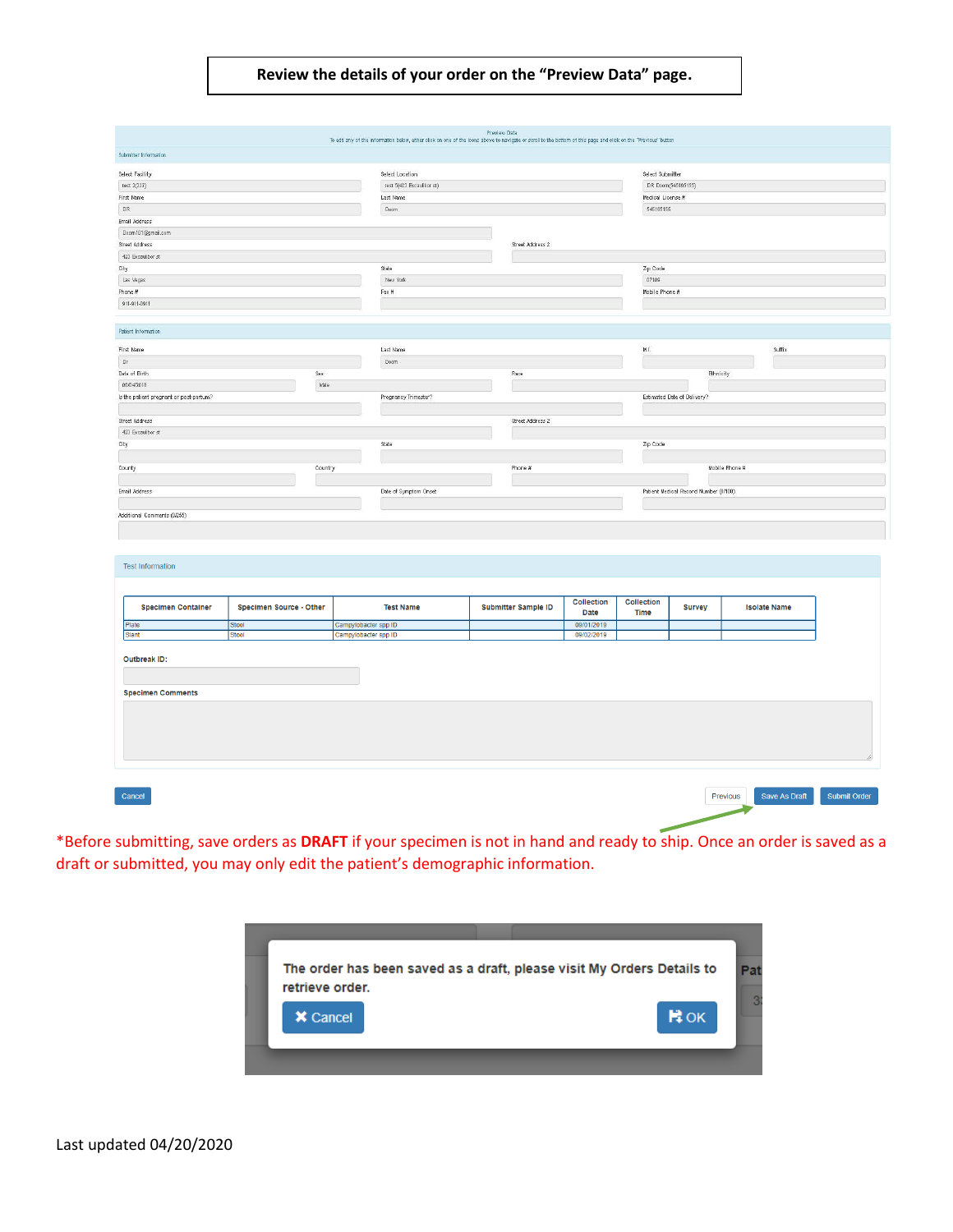#### **Review the details of your order on the "Preview Data" page.**

| Submitter Information                                |                         | To edit any of the information below, either oliok on one of the icons above to navigate or scroll to the bottom of this page and click on the "Previous" button | Preview Data               |                    |                           |                                       |                     |
|------------------------------------------------------|-------------------------|------------------------------------------------------------------------------------------------------------------------------------------------------------------|----------------------------|--------------------|---------------------------|---------------------------------------|---------------------|
|                                                      |                         |                                                                                                                                                                  |                            |                    |                           |                                       |                     |
| Select Facility                                      |                         | Select Location                                                                                                                                                  |                            |                    | Select Submitter          |                                       |                     |
| test 2(222)                                          |                         | test 6(423 Excaulibor st)                                                                                                                                        |                            | DR Doom(545165155) |                           |                                       |                     |
| First Name                                           |                         | Last Name                                                                                                                                                        |                            | Medical License #  |                           |                                       |                     |
| DR:                                                  |                         |                                                                                                                                                                  |                            | 545165155          |                           |                                       |                     |
| Email Address                                        |                         | Doom                                                                                                                                                             |                            |                    |                           |                                       |                     |
| Doom 101@gmail.com                                   |                         |                                                                                                                                                                  |                            |                    |                           |                                       |                     |
| Street Address                                       |                         |                                                                                                                                                                  | Street Address 2           |                    |                           |                                       |                     |
| 423 Excaudibor st                                    |                         |                                                                                                                                                                  |                            |                    |                           |                                       |                     |
| City                                                 |                         | State                                                                                                                                                            |                            |                    | Zip Code                  |                                       |                     |
| Las Vegas                                            |                         | New York                                                                                                                                                         |                            |                    | 07109                     |                                       |                     |
| Phone #                                              |                         | Fax #                                                                                                                                                            |                            |                    | Mobile Phone #            |                                       |                     |
| 911-911-0911                                         |                         |                                                                                                                                                                  |                            |                    |                           |                                       |                     |
|                                                      |                         |                                                                                                                                                                  |                            |                    |                           |                                       |                     |
| Patient Information<br>First Name                    |                         | Last Name                                                                                                                                                        |                            |                    | M.I.                      |                                       | Suffix              |
| $0\mathrm{r}$                                        |                         | Doom                                                                                                                                                             |                            |                    |                           |                                       |                     |
| Date of Birth                                        | Sex                     |                                                                                                                                                                  | Race                       |                    |                           |                                       |                     |
| 06/04/2018                                           | Male                    |                                                                                                                                                                  |                            |                    |                           | Ethnicity                             |                     |
| Is the patient pregnant or post-partum?              |                         | Pregnancy Trimester?                                                                                                                                             |                            |                    |                           | Estimated Date of Delivery?           |                     |
|                                                      |                         |                                                                                                                                                                  |                            |                    |                           |                                       |                     |
|                                                      |                         |                                                                                                                                                                  |                            |                    |                           |                                       |                     |
| Street Address                                       |                         |                                                                                                                                                                  | Street Address 2           |                    |                           |                                       |                     |
| 423 Excaudibor st                                    |                         |                                                                                                                                                                  |                            |                    |                           |                                       |                     |
| City                                                 |                         | State                                                                                                                                                            |                            |                    | Zip Code                  |                                       |                     |
|                                                      |                         |                                                                                                                                                                  |                            |                    |                           |                                       |                     |
| County                                               | Country                 |                                                                                                                                                                  | Phone #                    |                    |                           |                                       | Mobile Phone #      |
|                                                      |                         |                                                                                                                                                                  |                            |                    |                           |                                       |                     |
| Email Address                                        |                         | Date of Symptom Onset                                                                                                                                            |                            |                    |                           | Patient Medical Record Number (0/100) |                     |
|                                                      |                         |                                                                                                                                                                  |                            |                    |                           |                                       |                     |
|                                                      |                         |                                                                                                                                                                  |                            |                    |                           |                                       |                     |
| <b>Test Information</b><br><b>Specimen Container</b> | Specimen Source - Other | <b>Test Name</b>                                                                                                                                                 | <b>Submitter Sample ID</b> | Collection<br>Date | Collection<br><b>Time</b> | <b>Survey</b>                         | <b>Isolate Name</b> |
| Plate                                                | Stool                   | Campylobacter spp ID                                                                                                                                             |                            | 09/01/2019         |                           |                                       |                     |

\*Before submitting, save orders as **DRAFT** if your specimen is not in hand and ready to ship. Once an order is saved as a draft or submitted, you may only edit the patient's demographic information.

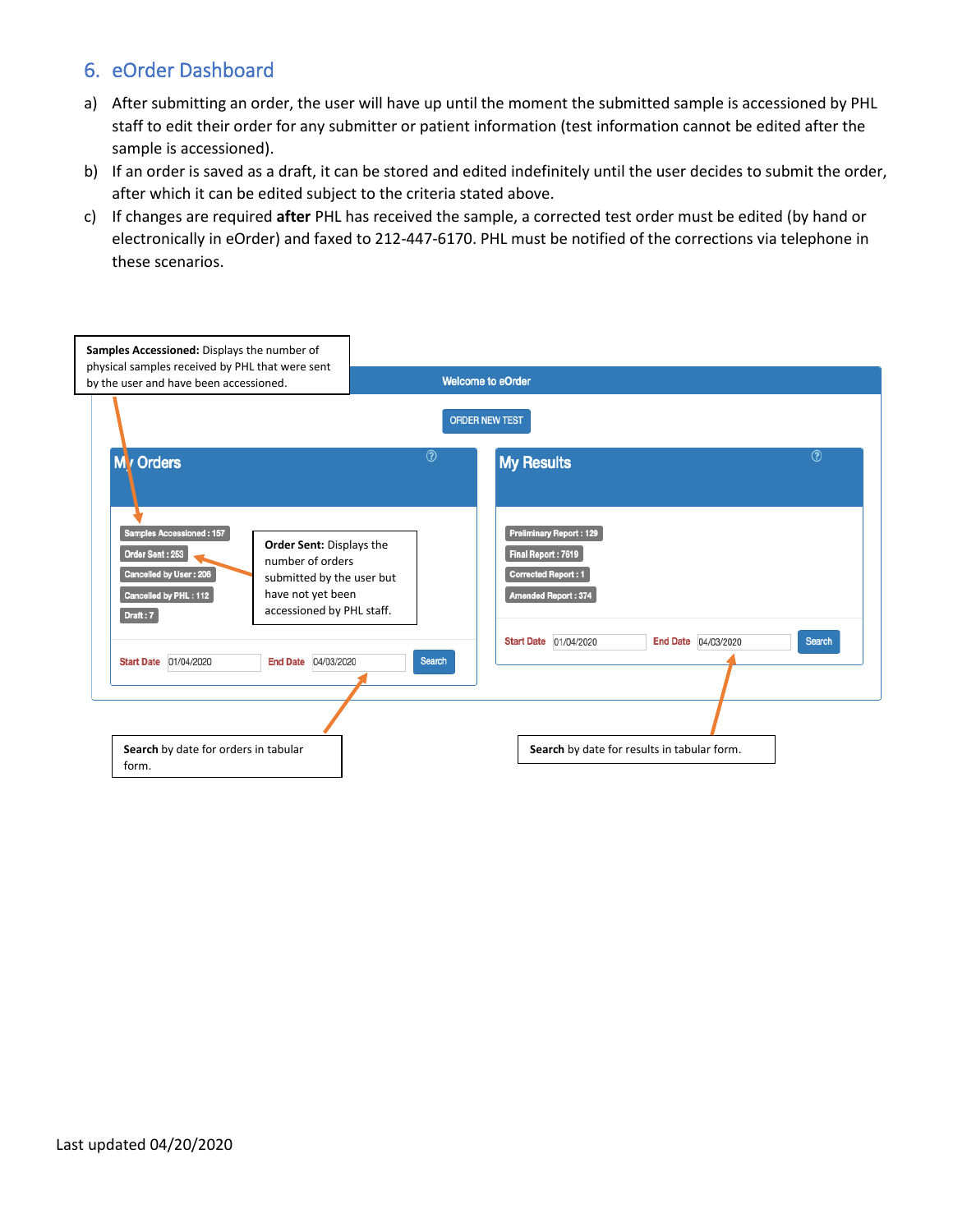## 6. eOrder Dashboard

- a) After submitting an order, the user will have up until the moment the submitted sample is accessioned by PHL staff to edit their order for any submitter or patient information (test information cannot be edited after the sample is accessioned).
- b) If an order is saved as a draft, it can be stored and edited indefinitely until the user decides to submit the order, after which it can be edited subject to the criteria stated above.
- c) If changes are required **after** PHL has received the sample, a corrected test order must be edited (by hand or electronically in eOrder) and faxed to 212-447-6170. PHL must be notified of the corrections via telephone in these scenarios.

| Samples Accessioned: Displays the number of<br>physical samples received by PHL that were sent                                                                                                                                            |                                                                                                    |
|-------------------------------------------------------------------------------------------------------------------------------------------------------------------------------------------------------------------------------------------|----------------------------------------------------------------------------------------------------|
| by the user and have been accessioned.                                                                                                                                                                                                    | <b>Welcome to eOrder</b>                                                                           |
|                                                                                                                                                                                                                                           | <b>ORDER NEW TEST</b>                                                                              |
| M <sub>v</sub> Orders                                                                                                                                                                                                                     | $\circledR$<br>$\circledR$<br><b>My Results</b>                                                    |
| Samples Accessioned: 157<br>Order Sent: Displays the<br>Order Sent: 253<br>number of orders<br>Cancelled by User: 206<br>submitted by the user but<br>have not yet been<br>Cancelled by PHL: 112<br>accessioned by PHL staff.<br>Draft: 7 | Preliminary Report: 129<br>Final Report: 7619<br><b>Corrected Report: 1</b><br>Amended Report: 374 |
| End Date 04/03/2020<br>Start Date 01/04/2020                                                                                                                                                                                              | End Date 04/03/2020<br>Search<br><b>Start Date</b> 01/04/2020<br>Search                            |
| Search by date for orders in tabular<br>form.                                                                                                                                                                                             | Search by date for results in tabular form.                                                        |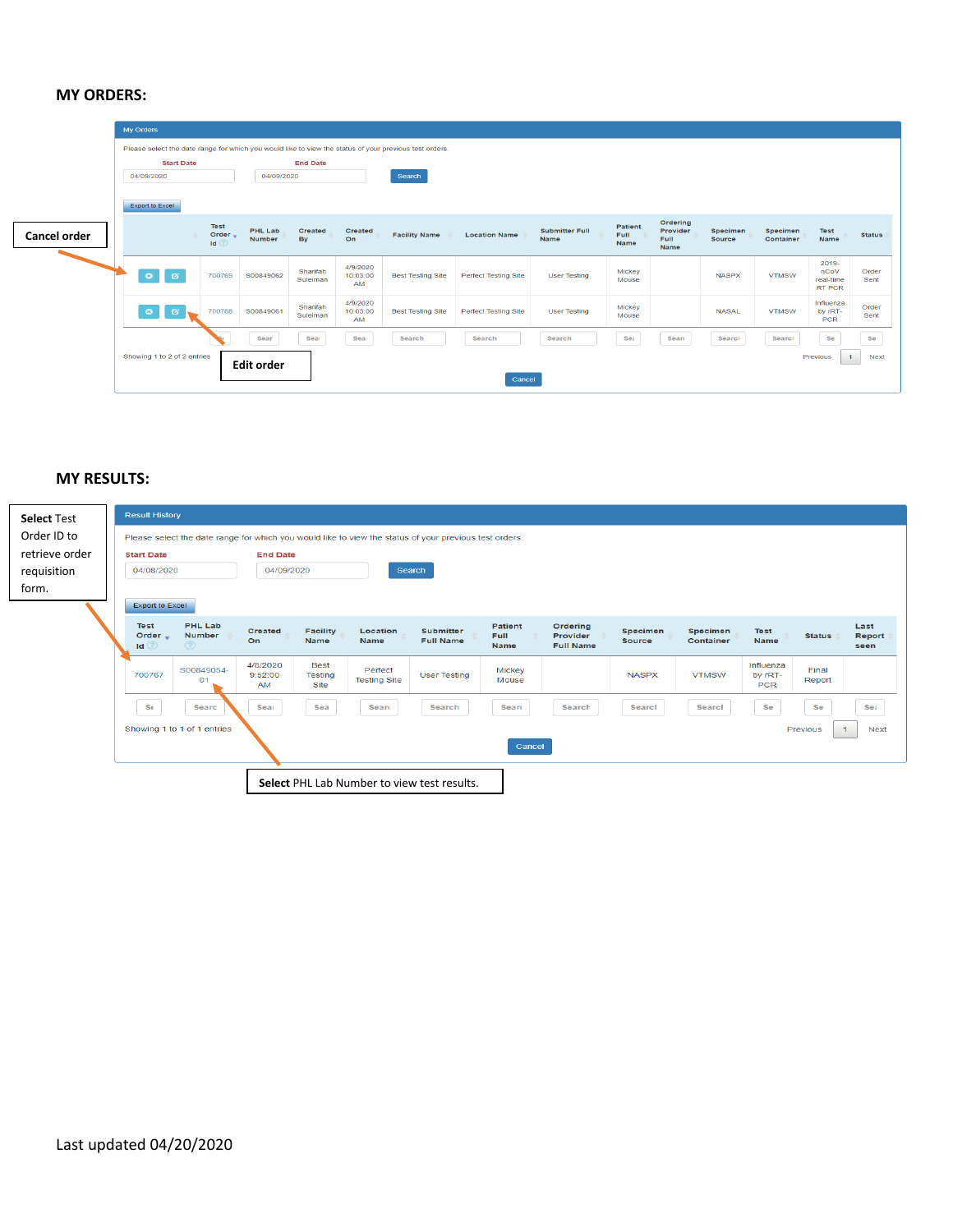#### **MY ORDERS:**

|              | My Orders                                                                                              |                              |                                 |                      |                                   |                          |                             |                               |                                |                                      |                    |                       |                                             |               |
|--------------|--------------------------------------------------------------------------------------------------------|------------------------------|---------------------------------|----------------------|-----------------------------------|--------------------------|-----------------------------|-------------------------------|--------------------------------|--------------------------------------|--------------------|-----------------------|---------------------------------------------|---------------|
|              | Please select the date range for which you would like to view the status of your previous test orders. |                              |                                 |                      |                                   |                          |                             |                               |                                |                                      |                    |                       |                                             |               |
|              | <b>Start Date</b>                                                                                      |                              |                                 | <b>End Date</b>      |                                   |                          |                             |                               |                                |                                      |                    |                       |                                             |               |
|              | 04/09/2020                                                                                             |                              | 04/09/2020                      |                      |                                   | Search                   |                             |                               |                                |                                      |                    |                       |                                             |               |
|              | <b>Export to Excel</b>                                                                                 |                              |                                 |                      |                                   |                          |                             |                               |                                |                                      |                    |                       |                                             |               |
| Cancel order |                                                                                                        | <b>Test</b><br>Order _<br>Id | <b>PHL Lab</b><br><b>Number</b> | Created<br><b>By</b> | Created<br>On                     | <b>Facility Name</b>     | <b>Location Name</b>        | <b>Submitter Full</b><br>Name | Patient<br>Full<br><b>Name</b> | Ordering<br>Provider<br>Full<br>Name | Specimen<br>Source | Specimen<br>Container | <b>Test</b><br>Name                         | <b>Status</b> |
|              | -61<br>$\bullet$                                                                                       | 700769                       | S00849062                       | Sharifah<br>Suleiman | 4/9/2020<br>10:03:00<br><b>AM</b> | <b>Best Testing Site</b> | Perfect Testing Site        | <b>User Testing</b>           | Mickey<br>Mouse                |                                      | <b>NASPX</b>       | <b>VTMSW</b>          | 2019-<br>nCoV<br>real-time<br><b>RT PCR</b> | Order<br>Sent |
|              | $\bullet$<br>ø                                                                                         | 700768                       | S00849061                       | Sharifah<br>Suleiman | 4/9/2020<br>10:03:00<br><b>AM</b> | <b>Best Testing Site</b> | <b>Perfect Testing Site</b> | <b>User Testing</b>           | Mickey<br>Mouse                |                                      | <b>NASAL</b>       | <b>VTMSW</b>          | Influenza<br>by rRT-<br><b>PCR</b>          | Order<br>Sent |
|              |                                                                                                        |                              | Sear                            | Sear                 | Sea                               | Search                   | Search                      | Search                        | Se:                            | Searc                                | Search             | Searcl                | Se                                          | Se            |
|              | Showing 1 to 2 of 2 entries                                                                            |                              | <b>Edit order</b>               |                      |                                   |                          | Cancel                      |                               |                                |                                      |                    |                       | Previous<br>$\mathbf{1}$                    | <b>Next</b>   |

#### **MY RESULTS:**